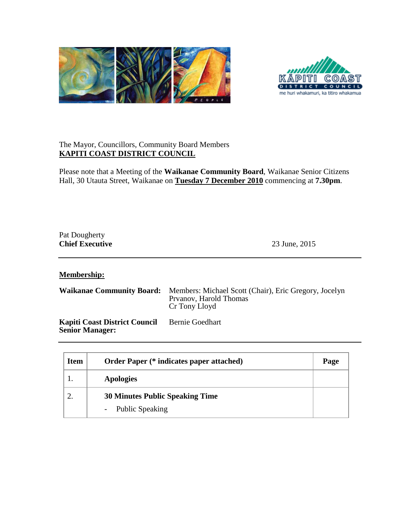



## The Mayor, Councillors, Community Board Members **KAPITI COAST DISTRICT COUNCIL**

Please note that a Meeting of the **Waikanae Community Board**, Waikanae Senior Citizens Hall, 30 Utauta Street, Waikanae on **Tuesday 7 December 2010** commencing at **7.30pm**.

## Pat Dougherty **Chief Executive** 23 June, 2015

**Membership:**

| <b>Waikanae Community Board:</b> Members: Michael Scott (Chair), Eric Gregory, Jocelyn |
|----------------------------------------------------------------------------------------|
| Prvanov, Harold Thomas                                                                 |
| Cr Tony Lloyd                                                                          |
|                                                                                        |

**Kapiti Coast District Council Senior Manager:** Bernie Goedhart

| <b>Item</b> | <b>Order Paper (* indicates paper attached)</b> | Page |
|-------------|-------------------------------------------------|------|
|             | <b>Apologies</b>                                |      |
|             | <b>30 Minutes Public Speaking Time</b>          |      |
|             | - Public Speaking                               |      |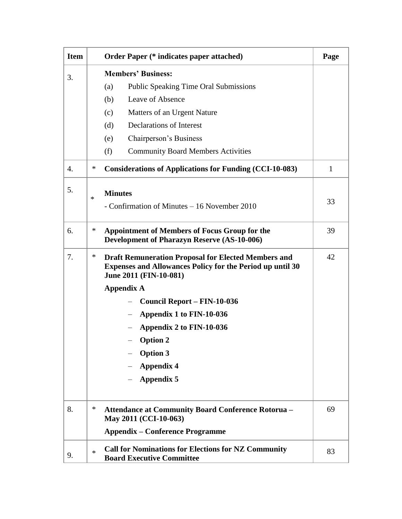| <b>Item</b> |        | <b>Order Paper</b> (* indicates paper attached)                                                                                                          | Page |
|-------------|--------|----------------------------------------------------------------------------------------------------------------------------------------------------------|------|
| 3.          |        | <b>Members' Business:</b>                                                                                                                                |      |
|             |        | (a)<br><b>Public Speaking Time Oral Submissions</b>                                                                                                      |      |
|             |        | Leave of Absence<br>(b)                                                                                                                                  |      |
|             |        | Matters of an Urgent Nature<br>(c)                                                                                                                       |      |
|             |        | Declarations of Interest<br>(d)                                                                                                                          |      |
|             |        | Chairperson's Business<br>(e)                                                                                                                            |      |
|             |        | (f)<br><b>Community Board Members Activities</b>                                                                                                         |      |
| 4.          | $\ast$ | <b>Considerations of Applications for Funding (CCI-10-083)</b>                                                                                           | 1    |
| 5.          |        | <b>Minutes</b>                                                                                                                                           |      |
|             | $\ast$ | - Confirmation of Minutes – 16 November 2010                                                                                                             | 33   |
|             |        |                                                                                                                                                          |      |
| 6.          | $\ast$ | <b>Appointment of Members of Focus Group for the</b>                                                                                                     | 39   |
|             |        | <b>Development of Pharazyn Reserve (AS-10-006)</b>                                                                                                       |      |
| 7.          | $\ast$ | <b>Draft Remuneration Proposal for Elected Members and</b><br><b>Expenses and Allowances Policy for the Period up until 30</b><br>June 2011 (FIN-10-081) | 42   |
|             |        | <b>Appendix A</b>                                                                                                                                        |      |
|             |        | Council Report – FIN-10-036                                                                                                                              |      |
|             |        | Appendix 1 to FIN-10-036                                                                                                                                 |      |
|             |        | Appendix 2 to FIN-10-036                                                                                                                                 |      |
|             |        | $-$ Option 2                                                                                                                                             |      |
|             |        | <b>Option 3</b>                                                                                                                                          |      |
|             |        | <b>Appendix 4</b>                                                                                                                                        |      |
|             |        | <b>Appendix 5</b>                                                                                                                                        |      |
| 8.          | $\ast$ | <b>Attendance at Community Board Conference Rotorua -</b>                                                                                                | 69   |
|             |        | May 2011 (CCI-10-063)                                                                                                                                    |      |
|             |        | <b>Appendix – Conference Programme</b>                                                                                                                   |      |
| 9.          | $\ast$ | <b>Call for Nominations for Elections for NZ Community</b><br><b>Board Executive Committee</b>                                                           | 83   |